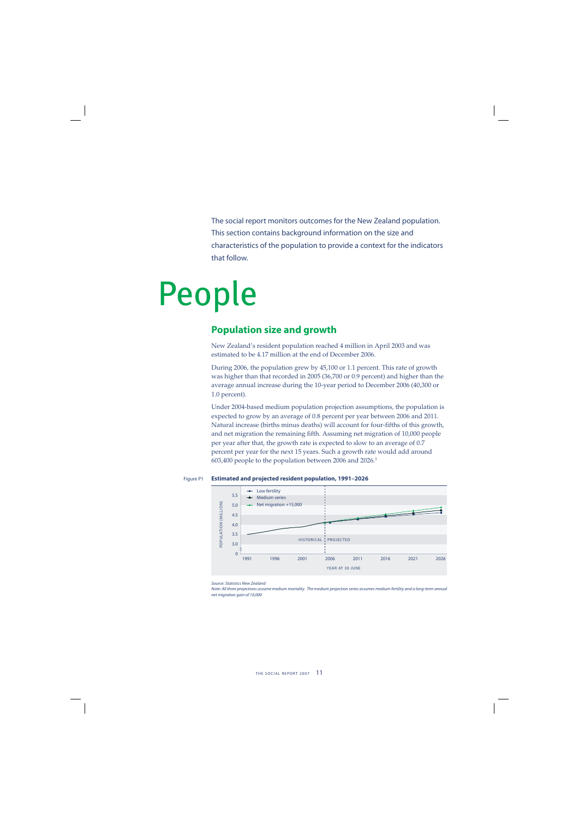The social report monitors outcomes for the New Zealand population. This section contains background information on the size and characteristics of the population to provide a context for the indicators that follow.

# People

## **Population size and growth**

New Zealand's resident population reached 4 million in April 2003 and was estimated to be 4.17 million at the end of December 2006.

During 2006, the population grew by 45,100 or 1.1 percent. This rate of growth was higher than that recorded in 2005 (36,700 or 0.9 percent) and higher than the average annual increase during the 10-year period to December 2006 (40,300 or 1.0 percent).

Under 2004-based medium population projection assumptions, the population is expected to grow by an average of 0.8 percent per year between 2006 and 2011. Natural increase (births minus deaths) will account for four-fifths of this growth, and net migration the remaining fifth. Assuming net migration of 10,000 people per year after that, the growth rate is expected to slow to an average of 0.7 percent per year for the next 15 years. Such a growth rate would add around 603,400 people to the population between 2006 and 2026.5

#### Figure P1 **Estimated and projected resident population, 1991–2026**



Source: Statistics New Zealand

Note: All three projections assume medium mortality. The medium projection series assumes medium fertility and a long-term annual net migration gain of 10,000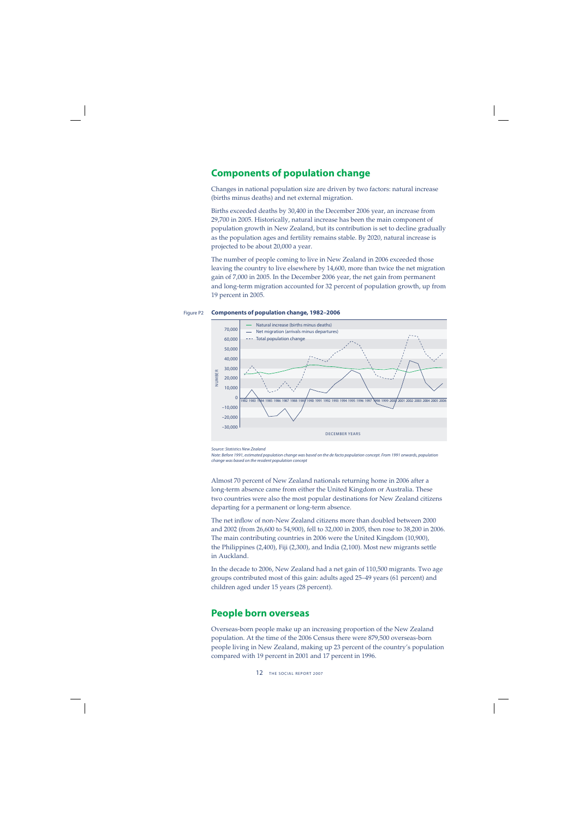## **Components of population change**

Changes in national population size are driven by two factors: natural increase (births minus deaths) and net external migration.

Births exceeded deaths by 30,400 in the December 2006 year, an increase from 29,700 in 2005. Historically, natural increase has been the main component of population growth in New Zealand, but its contribution is set to decline gradually as the population ages and fertility remains stable. By 2020, natural increase is projected to be about 20,000 a year.

The number of people coming to live in New Zealand in 2006 exceeded those leaving the country to live elsewhere by 14,600, more than twice the net migration gain of 7,000 in 2005. In the December 2006 year, the net gain from permanent and long-term migration accounted for 32 percent of population growth, up from 19 percent in 2005.





Source: Statistics New Zealand

Note: Before 1991, estimated population change was based on the de facto population concept. From 1991 onwards, population change was based on the resident population concept

Almost 70 percent of New Zealand nationals returning home in 2006 after a long-term absence came from either the United Kingdom or Australia. These two countries were also the most popular destinations for New Zealand citizens departing for a permanent or long-term absence.

The net inflow of non-New Zealand citizens more than doubled between 2000 and 2002 (from 26,600 to 54,900), fell to 32,000 in 2005, then rose to 38,200 in 2006. The main contributing countries in 2006 were the United Kingdom (10,900), the Philippines (2,400), Fiji (2,300), and India (2,100). Most new migrants settle in Auckland.

In the decade to 2006, New Zealand had a net gain of 110,500 migrants. Two age groups contributed most of this gain: adults aged 25–49 years (61 percent) and children aged under 15 years (28 percent).

## **People born overseas**

Overseas-born people make up an increasing proportion of the New Zealand population. At the time of the 2006 Census there were 879,500 overseas-born people living in New Zealand, making up 23 percent of the country's population compared with 19 percent in 2001 and 17 percent in 1996.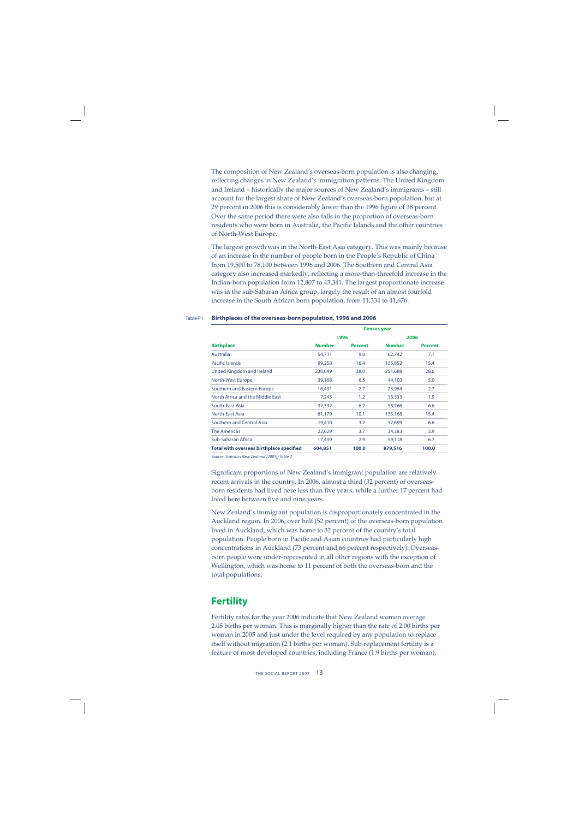The composition of New Zealand's overseas-born population is also changing, reflecting changes in New Zealand's immigration patterns. The United Kingdom and Ireland – historically the major sources of New Zealand's immigrants – still account for the largest share of New Zealand's overseas-born population, but at 29 percent in 2006 this is considerably lower than the 1996 figure of 38 percent. Over the same period there were also falls in the proportion of overseas-born residents who were born in Australia, the Pacific Islands and the other countries of North-West Europe.

The largest growth was in the North-East Asia category. This was mainly because of an increase in the number of people born in the People's Republic of China from 19,500 to 78,100 between 1996 and 2006. The Southern and Central Asia category also increased markedly, reflecting a more-than-threefold increase in the Indian-born population from 12,807 to 43,341. The largest proportionate increase was in the sub-Saharan Africa group, largely the result of an almost fourfold increase in the South African born population, from 11,334 to 41,676.

#### Table P1 **Birthplaces of the overseas-born population, 1996 and 2006**

|                                          |               |                | <b>Census year</b> |                |  |  |  |  |
|------------------------------------------|---------------|----------------|--------------------|----------------|--|--|--|--|
|                                          |               | 1996           | 2006               |                |  |  |  |  |
| <b>Birthplace</b>                        | <b>Number</b> | <b>Percent</b> | <b>Number</b>      | <b>Percent</b> |  |  |  |  |
| Australia                                | 54,711        | 9.0            | 62,742             | 7.1            |  |  |  |  |
| Pacific Islands                          | 99,258        | 16.4           | 135,852            | 15.4           |  |  |  |  |
| United Kingdom and Ireland               | 230,049       | 38.0           | 251,688            | 28.6           |  |  |  |  |
| North-West Europe                        | 39,168        | 6.5            | 44,103             | 5.0            |  |  |  |  |
| Southern and Eastern Europe              | 16,431        | 2.7            | 23,964             | 2.7            |  |  |  |  |
| North Africa and the Middle East         | 7.245         | 1.2            | 16,533             | 1.9            |  |  |  |  |
| South-East Asia                          | 37,332        | 6.2            | 58,266             | 6.6            |  |  |  |  |
| North-East Asia                          | 61,179        | 10.1           | 135,168            | 15.4           |  |  |  |  |
| Southern and Central Asia                | 19,410        | 3.2            | 57,699             | 6.6            |  |  |  |  |
| <b>The Americas</b>                      | 22,629        | 3.7            | 34,383             | 3.9            |  |  |  |  |
| Sub-Saharan Africa                       | 17,439        | 2.9            | 59,118             | 6.7            |  |  |  |  |
| Total with overseas birthplace specified | 604,851       | 100.0          | 879,516            | 100.0          |  |  |  |  |

Source: Statistics New Zealand (2007j) Table 7

Significant proportions of New Zealand's immigrant population are relatively recent arrivals in the country. In 2006, almost a third (32 percent) of overseasborn residents had lived here less than five years, while a further 17 percent had lived here between five and nine years.

New Zealand's immigrant population is disproportionately concentrated in the Auckland region. In 2006, over half (52 percent) of the overseas-born population lived in Auckland, which was home to 32 percent of the country's total population. People born in Pacific and Asian countries had particularly high concentrations in Auckland (73 percent and 66 percent respectively). Overseasborn people were under-represented in all other regions with the exception of Wellington, which was home to 11 percent of both the overseas-born and the total populations.

# **Fertility**

Fertility rates for the year 2006 indicate that New Zealand women average 2.05 births per woman. This is marginally higher than the rate of 2.00 births per woman in 2005 and just under the level required by any population to replace itself without migration (2.1 births per woman). Sub-replacement fertility is a feature of most developed countries, including France (1.9 births per woman),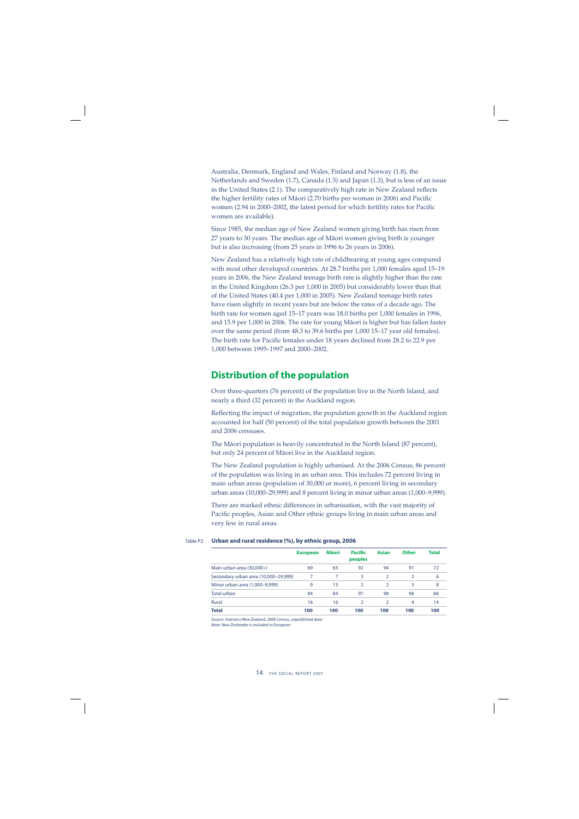Australia, Denmark, England and Wales, Finland and Norway (1.8), the Netherlands and Sweden (1.7), Canada (1.5) and Japan (1.3), but is less of an issue in the United States (2.1). The comparatively high rate in New Zealand reflects the higher fertility rates of Māori (2.70 births per woman in 2006) and Pacific women (2.94 in 2000–2002, the latest period for which fertility rates for Pacific women are available).

Since 1985, the median age of New Zealand women giving birth has risen from 27 years to 30 years. The median age of Mäori women giving birth is younger but is also increasing (from 25 years in 1996 to 26 years in 2006).

New Zealand has a relatively high rate of childbearing at young ages compared with most other developed countries. At 28.7 births per 1,000 females aged 15–19 years in 2006, the New Zealand teenage birth rate is slightly higher than the rate in the United Kingdom (26.3 per 1,000 in 2005) but considerably lower than that of the United States (40.4 per 1,000 in 2005). New Zealand teenage birth rates have risen slightly in recent years but are below the rates of a decade ago. The birth rate for women aged 15–17 years was 18.0 births per 1,000 females in 1996, and 15.9 per 1,000 in 2006. The rate for young Mäori is higher but has fallen faster over the same period (from 48.3 to 39.6 births per 1,000 15–17 year old females). The birth rate for Pacific females under 18 years declined from 28.2 to 22.9 per 1,000 between 1995–1997 and 2000–2002.

#### **Distribution of the population**

Over three-quarters (76 percent) of the population live in the North Island, and nearly a third (32 percent) in the Auckland region.

Reflecting the impact of migration, the population growth in the Auckland region accounted for half (50 percent) of the total population growth between the 2001 and 2006 censuses.

The Mäori population is heavily concentrated in the North Island (87 percent), but only 24 percent of Mäori live in the Auckland region.

The New Zealand population is highly urbanised. At the 2006 Census, 86 percent of the population was living in an urban area. This includes 72 percent living in main urban areas (population of 30,000 or more), 6 percent living in secondary urban areas (10,000–29,999) and 8 percent living in minor urban areas (1,000–9,999).

There are marked ethnic differences in urbanisation, with the vast majority of Pacific peoples, Asian and Other ethnic groups living in main urban areas and very few in rural areas.

|                                      | <b>European</b> | Māori | <b>Pacific</b><br>peoples | <b>Asian</b>  | <b>Other</b>  | <b>Total</b> |
|--------------------------------------|-----------------|-------|---------------------------|---------------|---------------|--------------|
| Main urban area (30,000+)            | 69              | 65    | 92                        | 94            | 91            | 72           |
| Secondary urban area (10,000-29,999) | 7               | 7     | 3                         | 2             | $\mathcal{P}$ | 6            |
| Minor urban area (1,000-9,999)       | 9               | 13    | $\mathcal{P}$             | $\mathcal{P}$ | 3             | 8            |
| Total urban                          | 84              | 84    | 97                        | 98            | 96            | 86           |
| Rural                                | 16              | 16    | $\mathcal{P}$             |               | 4             | 14           |
| <b>Total</b>                         | 100             | 100   | 100                       | 100           | 100           | 100          |

#### Table P2 **Urban and rural residence (%), by ethnic group, 2006**

Source: Statistics New Zealand, 2006 Census, unpublished data

Note: New Zealander is included in European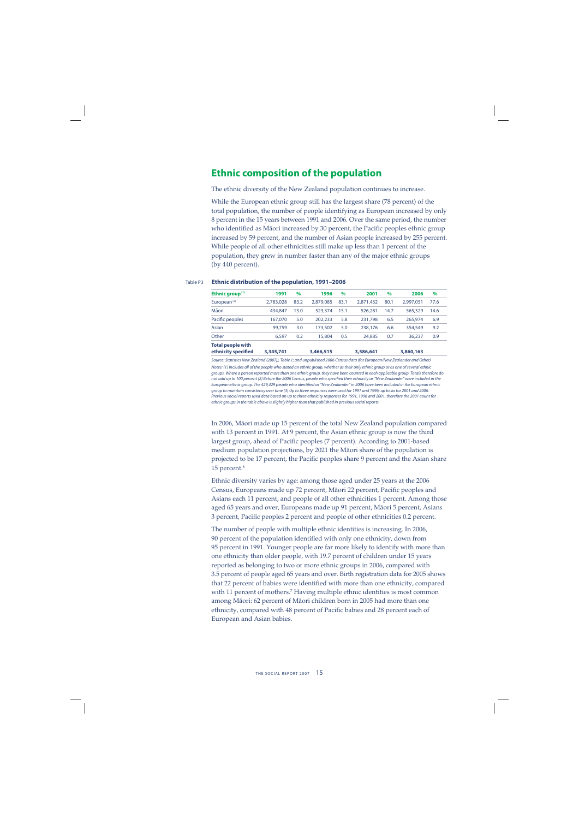## **Ethnic composition of the population**

The ethnic diversity of the New Zealand population continues to increase.

While the European ethnic group still has the largest share (78 percent) of the total population, the number of people identifying as European increased by only 8 percent in the 15 years between 1991 and 2006. Over the same period, the number who identified as Māori increased by 30 percent, the Pacific peoples ethnic group increased by 59 percent, and the number of Asian people increased by 255 percent. While people of all other ethnicities still make up less than 1 percent of the population, they grew in number faster than any of the major ethnic groups (by 440 percent).

| Ethnic group $(1)$       | 1991      | $\%$ | 1996      | $\%$ | 2001      | $\%$ | 2006      | $\%$ |
|--------------------------|-----------|------|-----------|------|-----------|------|-----------|------|
| European $(2)$           | 2.783.028 | 83.2 | 2.879.085 | 83.1 | 2.871.432 | 80.1 | 2.997.051 | 77.6 |
| Māori                    | 434,847   | 13.0 | 523,374   | 15.1 | 526.281   | 14.7 | 565,329   | 14.6 |
| Pacific peoples          | 167.070   | 5.0  | 202.233   | 5.8  | 231,798   | 6.5  | 265.974   | 6.9  |
| Asian                    | 99.759    | 3.0  | 173,502   | 5.0  | 238,176   | 6.6  | 354,549   | 9.2  |
| Other                    | 6,597     | 0.2  | 15,804    | 0.5  | 24,885    | 0.7  | 36.237    | 0.9  |
| <b>Total people with</b> |           |      |           |      |           |      |           |      |
| ethnicity specified      | 3,345,741 |      | 3,466,515 |      | 3,586,641 |      | 3,860,163 |      |

#### Table P3 **Ethnic distribution of the population, 1991–2006**

Source: Statistics New Zealand (2007j), Table 1; and unpublished 2006 Census data (for European/New Zealander and Other) Notes: (1) Includes all of the people who stated an ethnic group, whether as their only ethnic group or as one of several ethnic groups. Where a person reported more than one ethnic group, they have been counted in each applicable group. Totals therefore do not add up to 100 percent (2) Before the 2006 Census, people who specified their ethnicity as "New Zealander" were included in the European ethnic group. The 429,429 people who identified as "New Zealander" in 2006 have been included in the European ethnic group to maintain consistency over time (3) Up to three responses were used for 1991 and 1996; up to six for 2001 and 2006. Previous social reports used data based on up to three ethnicity responses for 1991, 1996 and 2001, therefore the 2001 count for ethnic groups in the table above is slightly higher than that published in previous social reports

In 2006, Mäori made up 15 percent of the total New Zealand population compared with 13 percent in 1991. At 9 percent, the Asian ethnic group is now the third largest group, ahead of Pacific peoples (7 percent). According to 2001-based medium population projections, by 2021 the Mäori share of the population is projected to be 17 percent, the Pacific peoples share 9 percent and the Asian share 15 percent.6

Ethnic diversity varies by age: among those aged under 25 years at the 2006 Census, Europeans made up 72 percent, Māori 22 percent, Pacific peoples and Asians each 11 percent, and people of all other ethnicities 1 percent. Among those aged 65 years and over, Europeans made up 91 percent, Mäori 5 percent, Asians 3 percent, Pacific peoples 2 percent and people of other ethnicities 0.2 percent.

The number of people with multiple ethnic identities is increasing. In 2006, 90 percent of the population identified with only one ethnicity, down from 95 percent in 1991. Younger people are far more likely to identify with more than one ethnicity than older people, with 19.7 percent of children under 15 years reported as belonging to two or more ethnic groups in 2006, compared with 3.5 percent of people aged 65 years and over. Birth registration data for 2005 shows that 22 percent of babies were identified with more than one ethnicity, compared with 11 percent of mothers.7 Having multiple ethnic identities is most common among Mäori: 62 percent of Mäori children born in 2005 had more than one ethnicity, compared with 48 percent of Pacific babies and 28 percent each of European and Asian babies.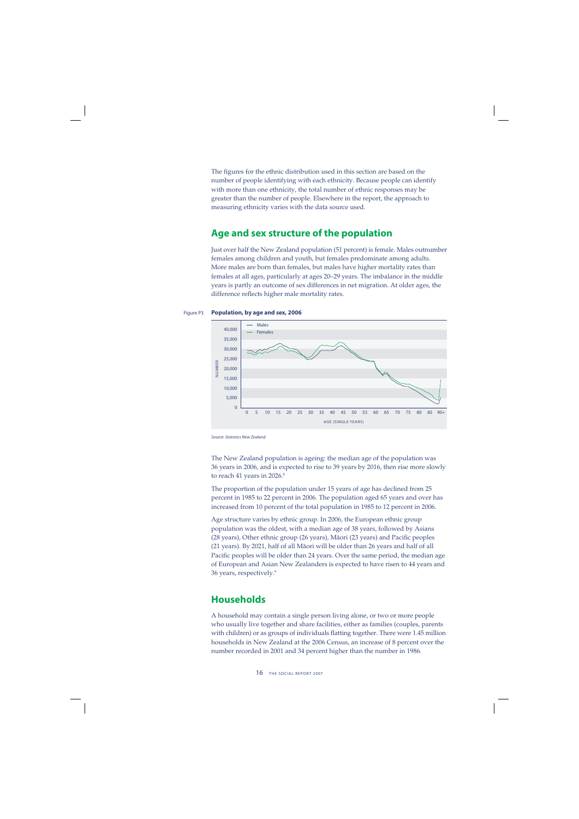The figures for the ethnic distribution used in this section are based on the number of people identifying with each ethnicity. Because people can identify with more than one ethnicity, the total number of ethnic responses may be greater than the number of people. Elsewhere in the report, the approach to measuring ethnicity varies with the data source used.

## **Age and sex structure of the population**

Just over half the New Zealand population (51 percent) is female. Males outnumber females among children and youth, but females predominate among adults. More males are born than females, but males have higher mortality rates than females at all ages, particularly at ages 20–29 years. The imbalance in the middle years is partly an outcome of sex differences in net migration. At older ages, the difference reflects higher male mortality rates.

#### Figure P3 **Population, by age and sex, 2006**



Source: Statistics New Zealand

The New Zealand population is ageing: the median age of the population was 36 years in 2006, and is expected to rise to 39 years by 2016, then rise more slowly to reach 41 years in 2026.<sup>8</sup>

The proportion of the population under 15 years of age has declined from 25 percent in 1985 to 22 percent in 2006. The population aged 65 years and over has increased from 10 percent of the total population in 1985 to 12 percent in 2006.

Age structure varies by ethnic group. In 2006, the European ethnic group population was the oldest, with a median age of 38 years, followed by Asians (28 years), Other ethnic group (26 years), Māori (23 years) and Pacific peoples (21 years). By 2021, half of all Mäori will be older than 26 years and half of all Pacific peoples will be older than 24 years. Over the same period, the median age of European and Asian New Zealanders is expected to have risen to 44 years and 36 years, respectively.9

# **Households**

A household may contain a single person living alone, or two or more people who usually live together and share facilities, either as families (couples, parents with children) or as groups of individuals flatting together. There were 1.45 million households in New Zealand at the 2006 Census, an increase of 8 percent over the number recorded in 2001 and 34 percent higher than the number in 1986.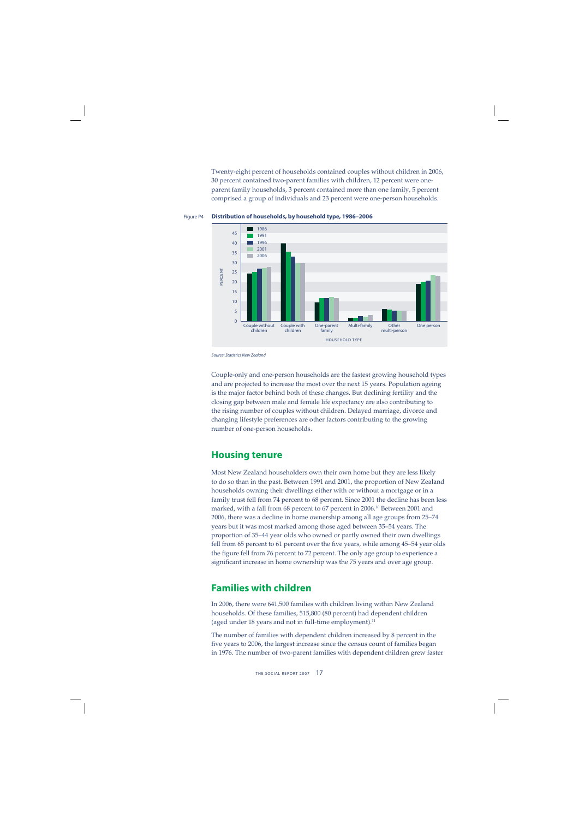Twenty-eight percent of households contained couples without children in 2006, 30 percent contained two-parent families with children, 12 percent were oneparent family households, 3 percent contained more than one family, 5 percent comprised a group of individuals and 23 percent were one-person households.





Source: Statistics New Zealand

Couple-only and one-person households are the fastest growing household types and are projected to increase the most over the next 15 years. Population ageing is the major factor behind both of these changes. But declining fertility and the closing gap between male and female life expectancy are also contributing to the rising number of couples without children. Delayed marriage, divorce and changing lifestyle preferences are other factors contributing to the growing number of one-person households.

## **Housing tenure**

Most New Zealand householders own their own home but they are less likely to do so than in the past. Between 1991 and 2001, the proportion of New Zealand households owning their dwellings either with or without a mortgage or in a family trust fell from 74 percent to 68 percent. Since 2001 the decline has been less marked, with a fall from 68 percent to 67 percent in 2006.<sup>10</sup> Between 2001 and 2006, there was a decline in home ownership among all age groups from 25–74 years but it was most marked among those aged between 35–54 years. The proportion of 35–44 year olds who owned or partly owned their own dwellings fell from 65 percent to 61 percent over the five years, while among 45-54 year olds the figure fell from 76 percent to 72 percent. The only age group to experience a significant increase in home ownership was the 75 years and over age group.

# **Families with children**

In 2006, there were 641,500 families with children living within New Zealand households. Of these families, 515,800 (80 percent) had dependent children (aged under 18 years and not in full-time employment).<sup>11</sup>

The number of families with dependent children increased by 8 percent in the five years to 2006, the largest increase since the census count of families began in 1976. The number of two-parent families with dependent children grew faster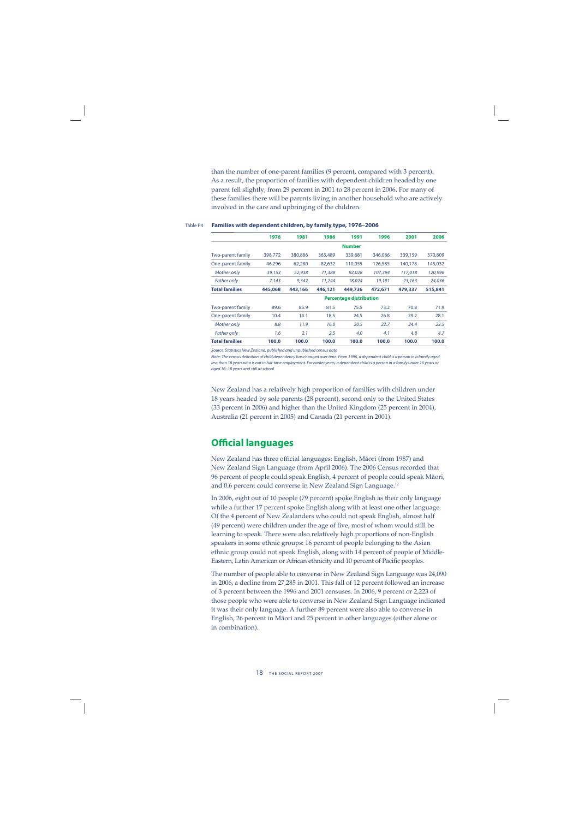than the number of one-parent families (9 percent, compared with 3 percent). As a result, the proportion of families with dependent children headed by one parent fell slightly, from 29 percent in 2001 to 28 percent in 2006. For many of these families there will be parents living in another household who are actively involved in the care and upbringing of the children.

|                          | 1976    | 1981    | 1986    | 1991                           | 1996    | 2001    | 2006    |
|--------------------------|---------|---------|---------|--------------------------------|---------|---------|---------|
|                          |         |         |         | <b>Number</b>                  |         |         |         |
| <b>Two-parent family</b> | 398,772 | 380,886 | 363,489 | 339,681                        | 346,086 | 339,159 | 370,809 |
| One-parent family        | 46,296  | 62,280  | 82,632  | 110,055                        | 126,585 | 140,178 | 145,032 |
| Mother only              | 39,153  | 52,938  | 71,388  | 92,028                         | 107,394 | 117,018 | 120,996 |
| <b>Father only</b>       | 7,143   | 9,342   | 11,244  | 18,024                         | 19,191  | 23,163  | 24,036  |
| <b>Total families</b>    | 445,068 | 443,166 | 446,121 | 449,736                        | 472,671 | 479,337 | 515,841 |
|                          |         |         |         | <b>Percentage distribution</b> |         |         |         |
| <b>Two-parent family</b> | 89.6    | 85.9    | 81.5    | 75.5                           | 73.2    | 70.8    | 71.9    |
| One-parent family        | 10.4    | 14.1    | 18.5    | 24.5                           | 26.8    | 29.2    | 28.1    |
| Mother only              | 8.8     | 11.9    | 16.0    | 20.5                           | 22.7    | 24.4    | 23.5    |
| <b>Father only</b>       | 1.6     | 2.1     | 2.5     | 4.0                            | 4.1     | 4.8     | 4.7     |
| <b>Total families</b>    | 100.0   | 100.0   | 100.0   | 100.0                          | 100.0   | 100.0   | 100.0   |

#### Table P4 **Families with dependent children, by family type, 1976–2006**

Source: Statistics New Zealand, published and unpublished census data

Note: The census definition of child dependency has changed over time. From 1996, a dependent child is a person in a family aged less than 18 years who is not in full-time employment. For earlier years, a dependent child is a person in a family under 16 years or aged 16–18 years and still at school

New Zealand has a relatively high proportion of families with children under 18 years headed by sole parents (28 percent), second only to the United States (33 percent in 2006) and higher than the United Kingdom (25 percent in 2004), Australia (21 percent in 2005) and Canada (21 percent in 2001).

# **Official languages**

New Zealand has three official languages: English, Māori (from 1987) and New Zealand Sign Language (from April 2006). The 2006 Census recorded that 96 percent of people could speak English, 4 percent of people could speak Mäori, and 0.6 percent could converse in New Zealand Sign Language.<sup>12</sup>

In 2006, eight out of 10 people (79 percent) spoke English as their only language while a further 17 percent spoke English along with at least one other language. Of the 4 percent of New Zealanders who could not speak English, almost half (49 percent) were children under the age of five, most of whom would still be learning to speak. There were also relatively high proportions of non-English speakers in some ethnic groups: 16 percent of people belonging to the Asian ethnic group could not speak English, along with 14 percent of people of Middle-Eastern, Latin American or African ethnicity and 10 percent of Pacific peoples.

The number of people able to converse in New Zealand Sign Language was 24,090 in 2006, a decline from 27,285 in 2001. This fall of 12 percent followed an increase of 3 percent between the 1996 and 2001 censuses. In 2006, 9 percent or 2,223 of those people who were able to converse in New Zealand Sign Language indicated it was their only language. A further 89 percent were also able to converse in English, 26 percent in Mäori and 25 percent in other languages (either alone or in combination).